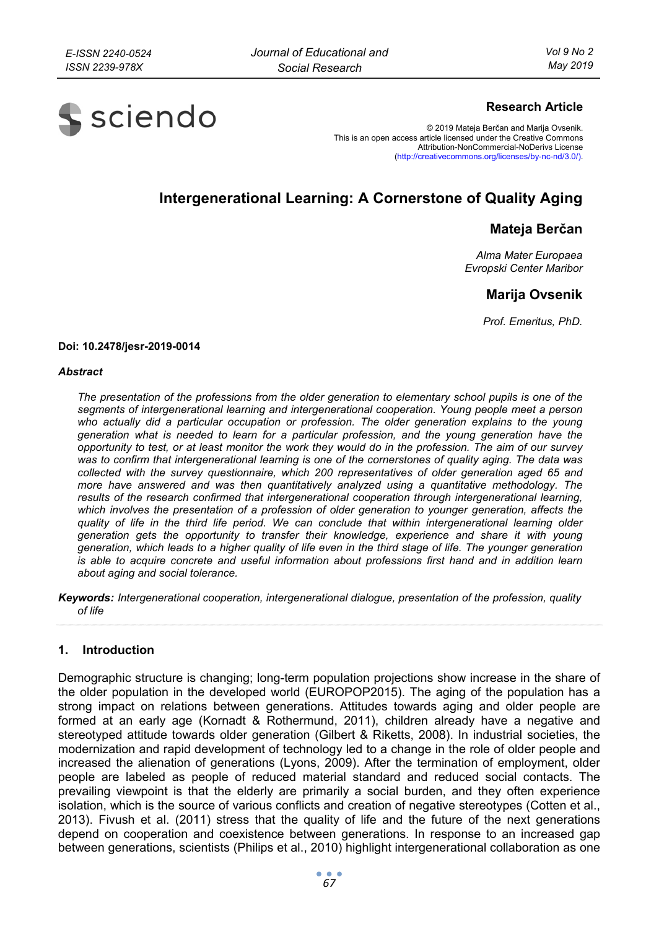

## **Research Article**

© 2019 Mateja Berčan and Marija Ovsenik. This is an open access article licensed under the Creative Commons Attribution-NonCommercial-NoDerivs License (http://creativecommons.org/licenses/by-nc-nd/3.0/).

# **Intergenerational Learning: A Cornerstone of Quality Aging**

## **Mateja Berčan**

*Alma Mater Europaea Evropski Center Maribor* 

## **Marija Ovsenik**

*Prof. Emeritus, PhD.* 

#### **Doi: 10.2478/jesr-2019-0014**

#### *Abstract*

*The presentation of the professions from the older generation to elementary school pupils is one of the segments of intergenerational learning and intergenerational cooperation. Young people meet a person*  who actually did a particular occupation or profession. The older generation explains to the young *generation what is needed to learn for a particular profession, and the young generation have the opportunity to test, or at least monitor the work they would do in the profession. The aim of our survey was to confirm that intergenerational learning is one of the cornerstones of quality aging. The data was collected with the survey questionnaire, which 200 representatives of older generation aged 65 and more have answered and was then quantitatively analyzed using a quantitative methodology. The results of the research confirmed that intergenerational cooperation through intergenerational learning, which involves the presentation of a profession of older generation to younger generation, affects the quality of life in the third life period. We can conclude that within intergenerational learning older generation gets the opportunity to transfer their knowledge, experience and share it with young generation, which leads to a higher quality of life even in the third stage of life. The younger generation is able to acquire concrete and useful information about professions first hand and in addition learn about aging and social tolerance.* 

*Keywords: Intergenerational cooperation, intergenerational dialogue, presentation of the profession, quality of life* 

## **1. Introduction**

Demographic structure is changing; long-term population projections show increase in the share of the older population in the developed world (EUROPOP2015). The aging of the population has a strong impact on relations between generations. Attitudes towards aging and older people are formed at an early age (Kornadt & Rothermund, 2011), children already have a negative and stereotyped attitude towards older generation (Gilbert & Riketts, 2008). In industrial societies, the modernization and rapid development of technology led to a change in the role of older people and increased the alienation of generations (Lyons, 2009). After the termination of employment, older people are labeled as people of reduced material standard and reduced social contacts. The prevailing viewpoint is that the elderly are primarily a social burden, and they often experience isolation, which is the source of various conflicts and creation of negative stereotypes (Cotten et al., 2013). Fivush et al. (2011) stress that the quality of life and the future of the next generations depend on cooperation and coexistence between generations. In response to an increased gap between generations, scientists (Philips et al., 2010) highlight intergenerational collaboration as one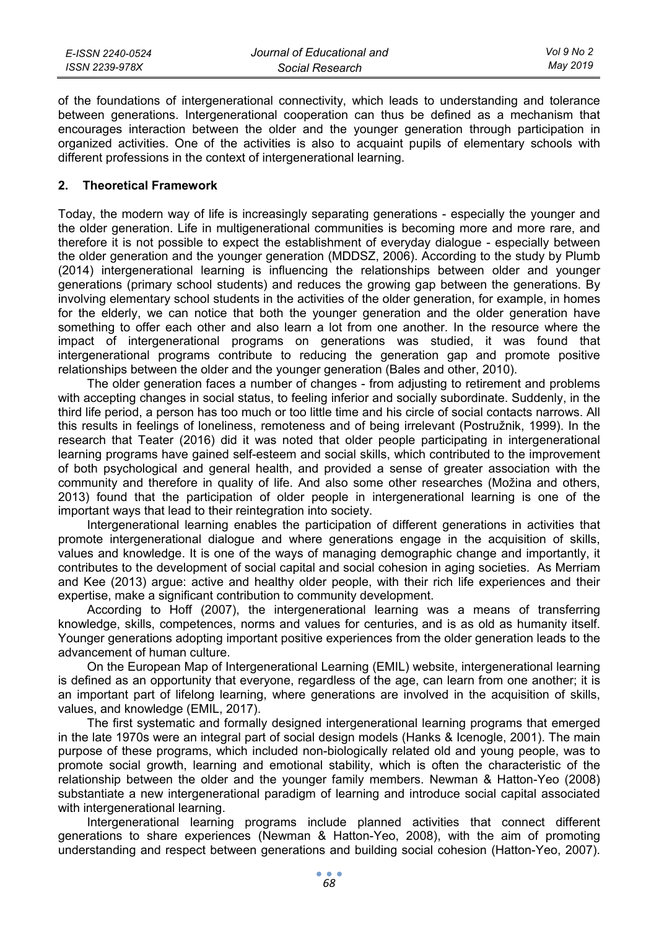| E-ISSN 2240-0524 | Journal of Educational and | Vol 9 No 2 |
|------------------|----------------------------|------------|
| ISSN 2239-978X   | Social Research            | May 2019   |

of the foundations of intergenerational connectivity, which leads to understanding and tolerance between generations. Intergenerational cooperation can thus be defined as a mechanism that encourages interaction between the older and the younger generation through participation in organized activities. One of the activities is also to acquaint pupils of elementary schools with different professions in the context of intergenerational learning.

#### **2. Theoretical Framework**

Today, the modern way of life is increasingly separating generations - especially the younger and the older generation. Life in multigenerational communities is becoming more and more rare, and therefore it is not possible to expect the establishment of everyday dialogue - especially between the older generation and the younger generation (MDDSZ, 2006). According to the study by Plumb (2014) intergenerational learning is influencing the relationships between older and younger generations (primary school students) and reduces the growing gap between the generations. By involving elementary school students in the activities of the older generation, for example, in homes for the elderly, we can notice that both the younger generation and the older generation have something to offer each other and also learn a lot from one another. In the resource where the impact of intergenerational programs on generations was studied, it was found that intergenerational programs contribute to reducing the generation gap and promote positive relationships between the older and the younger generation (Bales and other, 2010).

The older generation faces a number of changes - from adjusting to retirement and problems with accepting changes in social status, to feeling inferior and socially subordinate. Suddenly, in the third life period, a person has too much or too little time and his circle of social contacts narrows. All this results in feelings of loneliness, remoteness and of being irrelevant (Postružnik, 1999). In the research that Teater (2016) did it was noted that older people participating in intergenerational learning programs have gained self-esteem and social skills, which contributed to the improvement of both psychological and general health, and provided a sense of greater association with the community and therefore in quality of life. And also some other researches (Možina and others, 2013) found that the participation of older people in intergenerational learning is one of the important ways that lead to their reintegration into society.

Intergenerational learning enables the participation of different generations in activities that promote intergenerational dialogue and where generations engage in the acquisition of skills, values and knowledge. It is one of the ways of managing demographic change and importantly, it contributes to the development of social capital and social cohesion in aging societies. As Merriam and Kee (2013) argue: active and healthy older people, with their rich life experiences and their expertise, make a significant contribution to community development.

According to Hoff (2007), the intergenerational learning was a means of transferring knowledge, skills, competences, norms and values for centuries, and is as old as humanity itself. Younger generations adopting important positive experiences from the older generation leads to the advancement of human culture.

On the European Map of Intergenerational Learning (EMIL) website, intergenerational learning is defined as an opportunity that everyone, regardless of the age, can learn from one another; it is an important part of lifelong learning, where generations are involved in the acquisition of skills, values, and knowledge (EMIL, 2017).

The first systematic and formally designed intergenerational learning programs that emerged in the late 1970s were an integral part of social design models (Hanks & Icenogle, 2001). The main purpose of these programs, which included non-biologically related old and young people, was to promote social growth, learning and emotional stability, which is often the characteristic of the relationship between the older and the younger family members. Newman & Hatton-Yeo (2008) substantiate a new intergenerational paradigm of learning and introduce social capital associated with intergenerational learning.

Intergenerational learning programs include planned activities that connect different generations to share experiences (Newman & Hatton-Yeo, 2008), with the aim of promoting understanding and respect between generations and building social cohesion (Hatton-Yeo, 2007).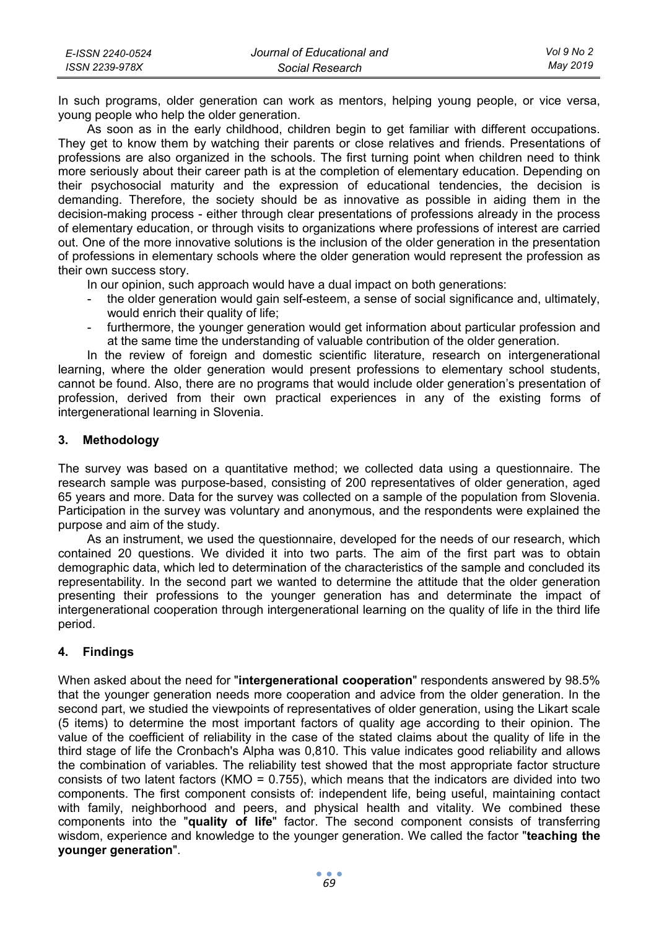| E-ISSN 2240-0524 | Journal of Educational and | Vol 9 No 2 |
|------------------|----------------------------|------------|
| ISSN 2239-978X   | Social Research            | May 2019   |

In such programs, older generation can work as mentors, helping young people, or vice versa, young people who help the older generation.

As soon as in the early childhood, children begin to get familiar with different occupations. They get to know them by watching their parents or close relatives and friends. Presentations of professions are also organized in the schools. The first turning point when children need to think more seriously about their career path is at the completion of elementary education. Depending on their psychosocial maturity and the expression of educational tendencies, the decision is demanding. Therefore, the society should be as innovative as possible in aiding them in the decision-making process - either through clear presentations of professions already in the process of elementary education, or through visits to organizations where professions of interest are carried out. One of the more innovative solutions is the inclusion of the older generation in the presentation of professions in elementary schools where the older generation would represent the profession as their own success story.

In our opinion, such approach would have a dual impact on both generations:

- the older generation would gain self-esteem, a sense of social significance and, ultimately, would enrich their quality of life;
- furthermore, the younger generation would get information about particular profession and at the same time the understanding of valuable contribution of the older generation.

In the review of foreign and domestic scientific literature, research on intergenerational learning, where the older generation would present professions to elementary school students, cannot be found. Also, there are no programs that would include older generation's presentation of profession, derived from their own practical experiences in any of the existing forms of intergenerational learning in Slovenia.

### **3. Methodology**

The survey was based on a quantitative method; we collected data using a questionnaire. The research sample was purpose-based, consisting of 200 representatives of older generation, aged 65 years and more. Data for the survey was collected on a sample of the population from Slovenia. Participation in the survey was voluntary and anonymous, and the respondents were explained the purpose and aim of the study.

As an instrument, we used the questionnaire, developed for the needs of our research, which contained 20 questions. We divided it into two parts. The aim of the first part was to obtain demographic data, which led to determination of the characteristics of the sample and concluded its representability. In the second part we wanted to determine the attitude that the older generation presenting their professions to the younger generation has and determinate the impact of intergenerational cooperation through intergenerational learning on the quality of life in the third life period.

## **4. Findings**

When asked about the need for "**intergenerational cooperation**" respondents answered by 98.5% that the younger generation needs more cooperation and advice from the older generation. In the second part, we studied the viewpoints of representatives of older generation, using the Likart scale (5 items) to determine the most important factors of quality age according to their opinion. The value of the coefficient of reliability in the case of the stated claims about the quality of life in the third stage of life the Cronbach's Alpha was 0,810. This value indicates good reliability and allows the combination of variables. The reliability test showed that the most appropriate factor structure consists of two latent factors (KMO = 0.755), which means that the indicators are divided into two components. The first component consists of: independent life, being useful, maintaining contact with family, neighborhood and peers, and physical health and vitality. We combined these components into the "**quality of life**" factor. The second component consists of transferring wisdom, experience and knowledge to the younger generation. We called the factor "**teaching the younger generation**".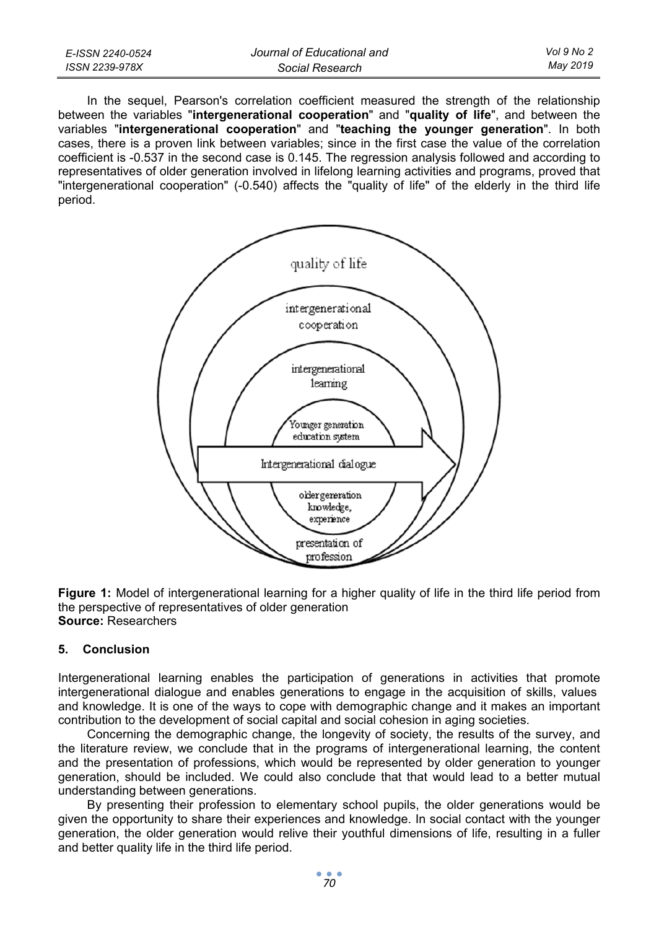| E-ISSN 2240-0524 | Journal of Educational and | Vol 9 No 2 |
|------------------|----------------------------|------------|
| ISSN 2239-978X   | Social Research            | May 2019   |

In the sequel, Pearson's correlation coefficient measured the strength of the relationship between the variables "**intergenerational cooperation**" and "**quality of life**", and between the variables "**intergenerational cooperation**" and "**teaching the younger generation**". In both cases, there is a proven link between variables; since in the first case the value of the correlation coefficient is -0.537 in the second case is 0.145. The regression analysis followed and according to representatives of older generation involved in lifelong learning activities and programs, proved that "intergenerational cooperation" (-0.540) affects the "quality of life" of the elderly in the third life period.



**Figure 1:** Model of intergenerational learning for a higher quality of life in the third life period from the perspective of representatives of older generation **Source:** Researchers

#### **5. Conclusion**

Intergenerational learning enables the participation of generations in activities that promote intergenerational dialogue and enables generations to engage in the acquisition of skills, values and knowledge. It is one of the ways to cope with demographic change and it makes an important contribution to the development of social capital and social cohesion in aging societies.

Concerning the demographic change, the longevity of society, the results of the survey, and the literature review, we conclude that in the programs of intergenerational learning, the content and the presentation of professions, which would be represented by older generation to younger generation, should be included. We could also conclude that that would lead to a better mutual understanding between generations.

By presenting their profession to elementary school pupils, the older generations would be given the opportunity to share their experiences and knowledge. In social contact with the younger generation, the older generation would relive their youthful dimensions of life, resulting in a fuller and better quality life in the third life period.